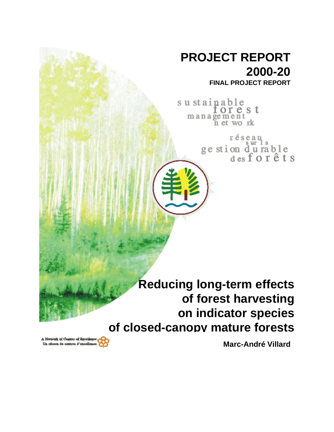# **PROJECT REPORT 2000-20**

**FINAL PROJECT REPORT**

su stainable orest management n et work

> réseau ge stion durable<br>desforêts

**Reducing long-term effects of forest harvesting on indicator species of closed-canopy mature forests**

**Marc-André Villard**

A Notwork of Centres of Excellence Un résesu de centres d'excellence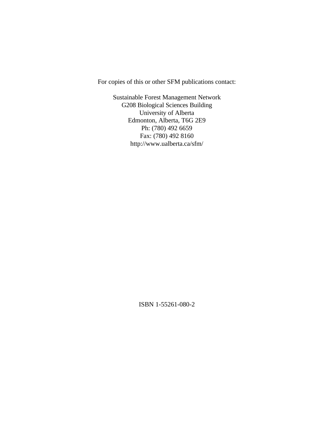For copies of this or other SFM publications contact:

Sustainable Forest Management Network G208 Biological Sciences Building University of Alberta Edmonton, Alberta, T6G 2E9 Ph: (780) 492 6659 Fax: (780) 492 8160 http://www.ualberta.ca/sfm/

ISBN 1-55261-080-2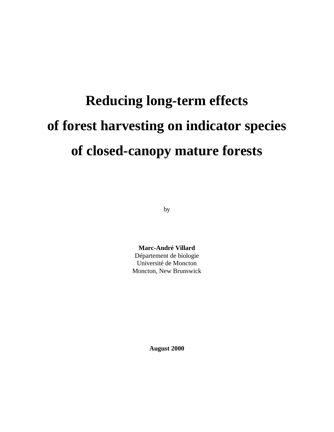# **Reducing long-term effects of forest harvesting on indicator species of closed-canopy mature forests**

by

**Marc-André Villard** Département de biologie Université de Moncton Moncton, New Brunswick

**August 2000**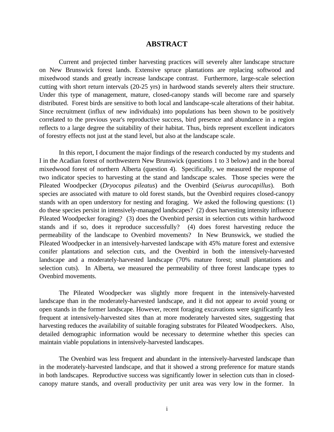# **ABSTRACT**

Current and projected timber harvesting practices will severely alter landscape structure on New Brunswick forest lands. Extensive spruce plantations are replacing softwood and mixedwood stands and greatly increase landscape contrast. Furthermore, large-scale selection cutting with short return intervals (20-25 yrs) in hardwood stands severely alters their structure. Under this type of management, mature, closed-canopy stands will become rare and sparsely distributed. Forest birds are sensitive to both local and landscape-scale alterations of their habitat. Since recruitment (influx of new individuals) into populations has been shown to be positively correlated to the previous year's reproductive success, bird presence and abundance in a region reflects to a large degree the suitability of their habitat. Thus, birds represent excellent indicators of forestry effects not just at the stand level, but also at the landscape scale.

In this report, I document the major findings of the research conducted by my students and I in the Acadian forest of northwestern New Brunswick (questions 1 to 3 below) and in the boreal mixedwood forest of northern Alberta (question 4). Specifically, we measured the response of two indicator species to harvesting at the stand and landscape scales. Those species were the Pileated Woodpecker (*Dryocopus pileatus*) and the Ovenbird (*Seiurus aurocapillus*). Both species are associated with mature to old forest stands, but the Ovenbird requires closed-canopy stands with an open understory for nesting and foraging. We asked the following questions: (1) do these species persist in intensively-managed landscapes? (2) does harvesting intensity influence Pileated Woodpecker foraging? (3) does the Ovenbird persist in selection cuts within hardwood stands and if so, does it reproduce successfully? (4) does forest harvesting reduce the permeability of the landscape to Ovenbird movements? In New Brunswick, we studied the Pileated Woodpecker in an intensively-harvested landscape with 45% mature forest and extensive conifer plantations and selection cuts, and the Ovenbird in both the intensively-harvested landscape and a moderately-harvested landscape (70% mature forest; small plantations and selection cuts). In Alberta, we measured the permeability of three forest landscape types to Ovenbird movements.

The Pileated Woodpecker was slightly more frequent in the intensively-harvested landscape than in the moderately-harvested landscape, and it did not appear to avoid young or open stands in the former landscape. However, recent foraging excavations were significantly less frequent at intensively-harvested sites than at more moderately harvested sites, suggesting that harvesting reduces the availability of suitable foraging substrates for Pileated Woodpeckers. Also, detailed demographic information would be necessary to determine whether this species can maintain viable populations in intensively-harvested landscapes.

The Ovenbird was less frequent and abundant in the intensively-harvested landscape than in the moderately-harvested landscape, and that it showed a strong preference for mature stands in both landscapes. Reproductive success was significantly lower in selection cuts than in closedcanopy mature stands, and overall productivity per unit area was very low in the former. In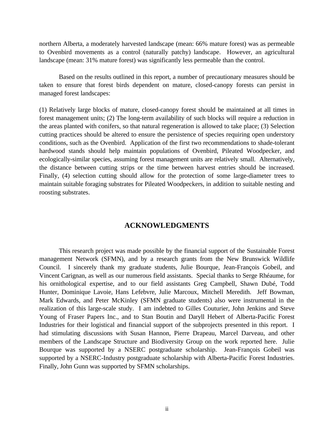northern Alberta, a moderately harvested landscape (mean: 66% mature forest) was as permeable to Ovenbird movements as a control (naturally patchy) landscape. However, an agricultural landscape (mean: 31% mature forest) was significantly less permeable than the control.

Based on the results outlined in this report, a number of precautionary measures should be taken to ensure that forest birds dependent on mature, closed-canopy forests can persist in managed forest landscapes:

(1) Relatively large blocks of mature, closed-canopy forest should be maintained at all times in forest management units; (2) The long-term availability of such blocks will require a reduction in the areas planted with conifers, so that natural regeneration is allowed to take place; (3) Selection cutting practices should be altered to ensure the persistence of species requiring open understory conditions, such as the Ovenbird. Application of the first two recommendations to shade-tolerant hardwood stands should help maintain populations of Ovenbird, Pileated Woodpecker, and ecologically-similar species, assuming forest management units are relatively small. Alternatively, the distance between cutting strips or the time between harvest entries should be increased. Finally, (4) selection cutting should allow for the protection of some large-diameter trees to maintain suitable foraging substrates for Pileated Woodpeckers, in addition to suitable nesting and roosting substrates.

# **ACKNOWLEDGMENTS**

This research project was made possible by the financial support of the Sustainable Forest management Network (SFMN), and by a research grants from the New Brunswick Wildlife Council. I sincerely thank my graduate students, Julie Bourque, Jean-François Gobeil, and Vincent Carignan, as well as our numerous field assistants. Special thanks to Serge Rhéaume, for his ornithological expertise, and to our field assistants Greg Campbell, Shawn Dubé, Todd Hunter, Dominique Lavoie, Hans Lefebvre, Julie Marcoux, Mitchell Meredith. Jeff Bowman, Mark Edwards, and Peter McKinley (SFMN graduate students) also were instrumental in the realization of this large-scale study. I am indebted to Gilles Couturier, John Jenkins and Steve Young of Fraser Papers Inc., and to Stan Boutin and Daryll Hebert of Alberta-Pacific Forest Industries for their logistical and financial support of the subprojects presented in this report. I had stimulating discussions with Susan Hannon, Pierre Drapeau, Marcel Darveau, and other members of the Landscape Structure and Biodiversity Group on the work reported here. Julie Bourque was supported by a NSERC postgraduate scholarship. Jean-François Gobeil was supported by a NSERC-Industry postgraduate scholarship with Alberta-Pacific Forest Industries. Finally, John Gunn was supported by SFMN scholarships.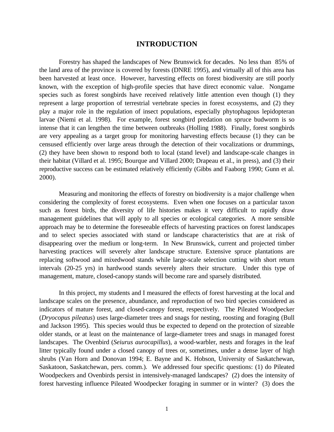# **INTRODUCTION**

Forestry has shaped the landscapes of New Brunswick for decades. No less than 85% of the land area of the province is covered by forests (DNRE 1995), and virtually all of this area has been harvested at least once. However, harvesting effects on forest biodiversity are still poorly known, with the exception of high-profile species that have direct economic value. Nongame species such as forest songbirds have received relatively little attention even though (1) they represent a large proportion of terrestrial vertebrate species in forest ecosystems, and (2) they play a major role in the regulation of insect populations, especially phytophagous lepidopteran larvae (Niemi et al. 1998). For example, forest songbird predation on spruce budworm is so intense that it can lengthen the time between outbreaks (Holling 1988). Finally, forest songbirds are very appealing as a target group for monitoring harvesting effects because (1) they can be censused efficiently over large areas through the detection of their vocalizations or drummings, (2) they have been shown to respond both to local (stand level) and landscape-scale changes in their habitat (Villard et al. 1995; Bourque and Villard 2000; Drapeau et al., in press), and (3) their reproductive success can be estimated relatively efficiently (Gibbs and Faaborg 1990; Gunn et al. 2000).

Measuring and monitoring the effects of forestry on biodiversity is a major challenge when considering the complexity of forest ecosystems. Even when one focuses on a particular taxon such as forest birds, the diversity of life histories makes it very difficult to rapidly draw management guidelines that will apply to all species or ecological categories. A more sensible approach may be to determine the foreseeable effects of harvesting practices on forest landscapes and to select species associated with stand or landscape characteristics that are at risk of disappearing over the medium or long-term. In New Brunswick, current and projected timber harvesting practices will severely alter landscape structure. Extensive spruce plantations are replacing softwood and mixedwood stands while large-scale selection cutting with short return intervals (20-25 yrs) in hardwood stands severely alters their structure. Under this type of management, mature, closed-canopy stands will become rare and sparsely distributed.

In this project, my students and I measured the effects of forest harvesting at the local and landscape scales on the presence, abundance, and reproduction of two bird species considered as indicators of mature forest, and closed-canopy forest, respectively. The Pileated Woodpecker (*Dryocopus pileatus*) uses large-diameter trees and snags for nesting, roosting and foraging (Bull and Jackson 1995). This species would thus be expected to depend on the protection of sizeable older stands, or at least on the maintenance of large-diameter trees and snags in managed forest landscapes. The Ovenbird (*Seiurus aurocapillus*), a wood-warbler, nests and forages in the leaf litter typically found under a closed canopy of trees or, sometimes, under a dense layer of high shrubs (Van Horn and Donovan 1994; E. Bayne and K. Hobson, University of Saskatchewan, Saskatoon, Saskatchewan, pers. comm.). We addressed four specific questions: (1) do Pileated Woodpeckers and Ovenbirds persist in intensively-managed landscapes? (2) does the intensity of forest harvesting influence Pileated Woodpecker foraging in summer or in winter? (3) does the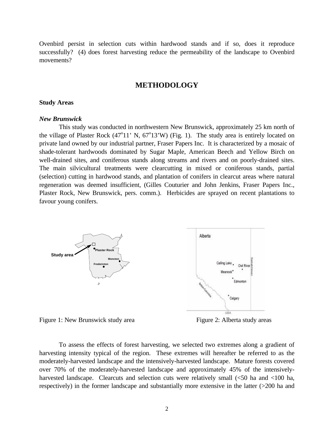Ovenbird persist in selection cuts within hardwood stands and if so, does it reproduce successfully? (4) does forest harvesting reduce the permeability of the landscape to Ovenbird movements?

# **METHODOLOGY**

#### **Study Areas**

#### *New Brunswick*

This study was conducted in northwestern New Brunswick, approximately 25 km north of the village of Plaster Rock  $(47^{\circ}11' \text{ N}, 67^{\circ}13' \text{ W})$  (Fig. 1). The study area is entirely located on private land owned by our industrial partner, Fraser Papers Inc. It is characterized by a mosaic of shade-tolerant hardwoods dominated by Sugar Maple, American Beech and Yellow Birch on well-drained sites, and coniferous stands along streams and rivers and on poorly-drained sites. The main silvicultural treatments were clearcutting in mixed or coniferous stands, partial (selection) cutting in hardwood stands, and plantation of conifers in clearcut areas where natural regeneration was deemed insufficient, (Gilles Couturier and John Jenkins, Fraser Papers Inc., Plaster Rock, New Brunswick, pers. comm.). Herbicides are sprayed on recent plantations to favour young conifers.



Figure 1: New Brunswick study area Figure 2: Alberta study areas

To assess the effects of forest harvesting, we selected two extremes along a gradient of harvesting intensity typical of the region. These extremes will hereafter be referred to as the moderately-harvested landscape and the intensively-harvested landscape. Mature forests covered over 70% of the moderately-harvested landscape and approximately 45% of the intensivelyharvested landscape. Clearcuts and selection cuts were relatively small (<50 ha and <100 ha, respectively) in the former landscape and substantially more extensive in the latter (>200 ha and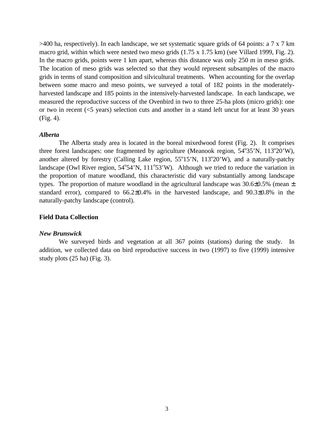>400 ha, respectively). In each landscape, we set systematic square grids of 64 points: a 7 x 7 km macro grid, within which were nested two meso grids (1.75 x 1.75 km) (see Villard 1999, Fig. 2). In the macro grids, points were 1 km apart, whereas this distance was only 250 m in meso grids. The location of meso grids was selected so that they would represent subsamples of the macro grids in terms of stand composition and silvicultural treatments. When accounting for the overlap between some macro and meso points, we surveyed a total of 182 points in the moderatelyharvested landscape and 185 points in the intensively-harvested landscape. In each landscape, we measured the reproductive success of the Ovenbird in two to three 25-ha plots (micro grids): one or two in recent (<5 years) selection cuts and another in a stand left uncut for at least 30 years (Fig. 4).

#### *Alberta*

The Alberta study area is located in the boreal mixedwood forest (Fig. 2). It comprises three forest landscapes: one fragmented by agriculture (Meanook region,  $54^{\circ}35^{\prime}N$ ,  $113^{\circ}20^{\prime}W$ ), another altered by forestry (Calling Lake region,  $55^{\circ}15'N$ ,  $113^{\circ}20'W$ ), and a naturally-patchy landscape (Owl River region, 54°54'N, 111°53'W). Although we tried to reduce the variation in the proportion of mature woodland, this characteristic did vary substantially among landscape types. The proportion of mature woodland in the agricultural landscape was  $30.6\pm0.5\%$  (mean  $\pm$ standard error), compared to 66.2±0.4% in the harvested landscape, and 90.3±0.8% in the naturally-patchy landscape (control).

# **Field Data Collection**

#### *New Brunswick*

We surveyed birds and vegetation at all 367 points (stations) during the study. In addition, we collected data on bird reproductive success in two (1997) to five (1999) intensive study plots (25 ha) (Fig. 3).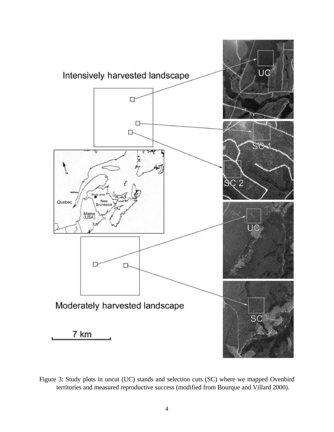

Figure 3: Study plots in uncut (UC) stands and selection cuts (SC) where we mapped Ovenbird territories and measured reproductive success (modified from Bourque and Villard 2000).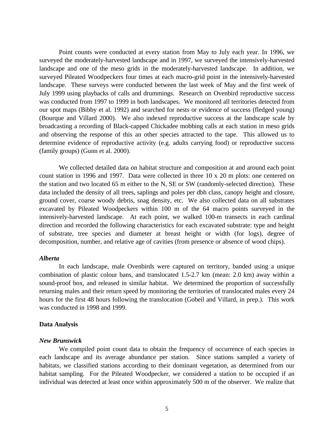Point counts were conducted at every station from May to July each year. In 1996, we surveyed the moderately-harvested landscape and in 1997, we surveyed the intensively-harvested landscape and one of the meso grids in the moderately-harvested landscape. In addition, we surveyed Pileated Woodpeckers four times at each macro-grid point in the intensively-harvested landscape. These surveys were conducted between the last week of May and the first week of July 1999 using playbacks of calls and drummings. Research on Ovenbird reproductive success was conducted from 1997 to 1999 in both landscapes. We monitored all territories detected from our spot maps (Bibby et al. 1992) and searched for nests or evidence of success (fledged young) (Bourque and Villard 2000). We also indexed reproductive success at the landscape scale by broadcasting a recording of Black-capped Chickadee mobbing calls at each station in meso grids and observing the response of this an other species attracted to the tape. This allowed us to determine evidence of reproductive activity (e.g. adults carrying food) or reproductive success (family groups) (Gunn et al. 2000).

We collected detailed data on habitat structure and composition at and around each point count station in 1996 and 1997. Data were collected in three 10 x 20 m plots: one centered on the station and two located 65 m either to the N, SE or SW (randomly-selected direction). These data included the density of all trees, saplings and poles per dbh class, canopy height and closure, ground cover, coarse woody debris, snag density, etc. We also collected data on all substrates excavated by Pileated Woodpeckers within 100 m of the 64 macro points surveyed in the intensively-harvested landscape. At each point, we walked 100-m transects in each cardinal direction and recorded the following characteristics for each excavated substrate: type and height of substrate, tree species and diameter at breast height or width (for logs), degree of decomposition, number, and relative age of cavities (from presence or absence of wood chips).

#### *Alberta*

In each landscape, male Ovenbirds were captured on territory, banded using a unique combination of plastic colour bans, and translocated 1.5-2.7 km (mean: 2.0 km) away within a sound-proof box, and released in similar habitat. We determined the proportion of successfully returning males and their return speed by monitoring the territories of translocated males every 24 hours for the first 48 hours following the translocation (Gobeil and Villard, in prep.). This work was conducted in 1998 and 1999.

#### **Data Analysis**

#### *New Brunswick*

We compiled point count data to obtain the frequency of occurrence of each species in each landscape and its average abundance per station. Since stations sampled a variety of habitats, we classified stations according to their dominant vegetation, as determined from our habitat sampling. For the Pileated Woodpecker, we considered a station to be occupied if an individual was detected at least once within approximately 500 m of the observer. We realize that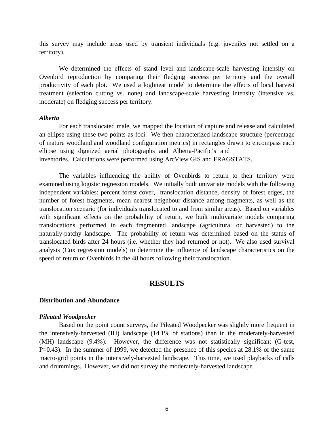this survey may include areas used by transient individuals (e.g. juveniles not settled on a territory).

We determined the effects of stand level and landscape-scale harvesting intensity on Ovenbird reproduction by comparing their fledging success per territory and the overall productivity of each plot. We used a loglinear model to determine the effects of local harvest treatment (selection cutting vs. none) and landscape-scale harvesting intensity (intensive vs. moderate) on fledging success per territory.

#### *Alberta*

For each translocated male, we mapped the location of capture and release and calculated an ellipse using these two points as foci. We then characterized landscape structure (percentage of mature woodland and woodland configuration metrics) in rectangles drawn to encompass each ellipse using digitized aerial photographs and Alberta-Pacific's and inventories. Calculations were performed using ArcView GIS and FRAGSTATS.

The variables influencing the ability of Ovenbirds to return to their territory were examined using logistic regression models. We initially built univariate models with the following independent variables: percent forest cover, translocation distance, density of forest edges, the number of forest fragments, mean nearest neighbour distance among fragments, as well as the translocation scenario (for individuals translocated to and from similar areas). Based on variables with significant effects on the probability of return, we built multivariate models comparing translocations performed in each fragmented landscape (agricultural or harvested) to the naturally-patchy landscape. The probability of return was determined based on the status of translocated birds after 24 hours (i.e. whether they had returned or not). We also used survival analysis (Cox regression models) to determine the influence of landscape characteristics on the speed of return of Ovenbirds in the 48 hours following their translocation.

# **RESULTS**

#### **Distribution and Abundance**

#### *Pileated Woodpecker*

Based on the point count surveys, the Pileated Woodpecker was slightly more frequent in the intensively-harvested (IH) landscape (14.1% of stations) than in the moderately-harvested (MH) landscape (9.4%). However, the difference was not statistically significant (G-test, P=0.43). In the summer of 1999, we detected the presence of this species at 28.1% of the same macro-grid points in the intensively-harvested landscape. This time, we used playbacks of calls and drummings. However, we did not survey the moderately-harvested landscape.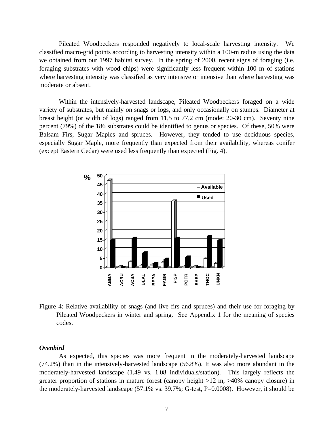Pileated Woodpeckers responded negatively to local-scale harvesting intensity. We classified macro-grid points according to harvesting intensity within a 100-m radius using the data we obtained from our 1997 habitat survey. In the spring of 2000, recent signs of foraging (i.e. foraging substrates with wood chips) were significantly less frequent within 100 m of stations where harvesting intensity was classified as very intensive or intensive than where harvesting was moderate or absent.

Within the intensively-harvested landscape, Pileated Woodpeckers foraged on a wide variety of substrates, but mainly on snags or logs, and only occasionally on stumps. Diameter at breast height (or width of logs) ranged from 11,5 to 77,2 cm (mode: 20-30 cm). Seventy nine percent (79%) of the 186 substrates could be identified to genus or species. Of these, 50% were Balsam Firs, Sugar Maples and spruces. However, they tended to use deciduous species, especially Sugar Maple, more frequently than expected from their availability, whereas conifer (except Eastern Cedar) were used less frequently than expected (Fig. 4).



Figure 4: Relative availability of snags (and live firs and spruces) and their use for foraging by Pileated Woodpeckers in winter and spring. See Appendix 1 for the meaning of species codes.

#### *Ovenbird*

As expected, this species was more frequent in the moderately-harvested landscape (74.2%) than in the intensively-harvested landscape (56.8%). It was also more abundant in the moderately-harvested landscape (1.49 vs. 1.08 individuals/station). This largely reflects the greater proportion of stations in mature forest (canopy height >12 m, >40% canopy closure) in the moderately-harvested landscape (57.1% vs. 39.7%; G-test, P=0.0008). However, it should be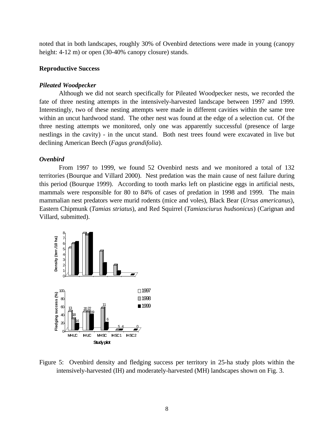noted that in both landscapes, roughly 30% of Ovenbird detections were made in young (canopy height: 4-12 m) or open (30-40% canopy closure) stands.

# **Reproductive Success**

#### *Pileated Woodpecker*

Although we did not search specifically for Pileated Woodpecker nests, we recorded the fate of three nesting attempts in the intensively-harvested landscape between 1997 and 1999. Interestingly, two of these nesting attempts were made in different cavities within the same tree within an uncut hardwood stand. The other nest was found at the edge of a selection cut. Of the three nesting attempts we monitored, only one was apparently successful (presence of large nestlings in the cavity) - in the uncut stand. Both nest trees found were excavated in live but declining American Beech (*Fagus grandifolia*).

#### *Ovenbird*

From 1997 to 1999, we found 52 Ovenbird nests and we monitored a total of 132 territories (Bourque and Villard 2000). Nest predation was the main cause of nest failure during this period (Bourque 1999). According to tooth marks left on plasticine eggs in artificial nests, mammals were responsible for 80 to 84% of cases of predation in 1998 and 1999. The main mammalian nest predators were murid rodents (mice and voles), Black Bear (*Ursus americanus*), Eastern Chipmunk (*Tamias striatus*), and Red Squirrel (*Tamiasciurus hudsonicus*) (Carignan and Villard, submitted).



Figure 5: Ovenbird density and fledging success per territory in 25-ha study plots within the intensively-harvested (IH) and moderately-harvested (MH) landscapes shown on Fig. 3.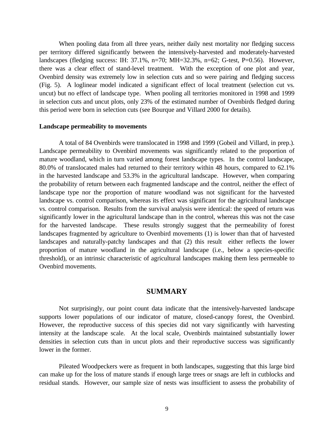When pooling data from all three years, neither daily nest mortality nor fledging success per territory differed significantly between the intensively-harvested and moderately-harvested landscapes (fledging success: IH: 37.1%, n=70; MH=32.3%, n=62; G-test, P=0.56). However, there was a clear effect of stand-level treatment. With the exception of one plot and year, Ovenbird density was extremely low in selection cuts and so were pairing and fledging success (Fig. 5). A loglinear model indicated a significant effect of local treatment (selection cut vs. uncut) but no effect of landscape type. When pooling all territories monitored in 1998 and 1999 in selection cuts and uncut plots, only 23% of the estimated number of Ovenbirds fledged during this period were born in selection cuts (see Bourque and Villard 2000 for details).

#### **Landscape permeability to movements**

A total of 84 Ovenbirds were translocated in 1998 and 1999 (Gobeil and Villard, in prep.). Landscape permeability to Ovenbird movements was significantly related to the proportion of mature woodland, which in turn varied among forest landscape types. In the control landscape, 80.0% of translocated males had returned to their territory within 48 hours, compared to 62.1% in the harvested landscape and 53.3% in the agricultural landscape. However, when comparing the probability of return between each fragmented landscape and the control, neither the effect of landscape type nor the proportion of mature woodland was not significant for the harvested landscape vs. control comparison, whereas its effect was significant for the agricultural landscape vs. control comparison. Results from the survival analysis were identical: the speed of return was significantly lower in the agricultural landscape than in the control, whereas this was not the case for the harvested landscape. These results strongly suggest that the permeability of forest landscapes fragmented by agriculture to Ovenbird movements (1) is lower than that of harvested landscapes and naturally-patchy landscapes and that (2) this result either reflects the lower proportion of mature woodland in the agricultural landscape (i.e., below a species-specific threshold), or an intrinsic characteristic of agricultural landscapes making them less permeable to Ovenbird movements.

# **SUMMARY**

Not surprisingly, our point count data indicate that the intensively-harvested landscape supports lower populations of our indicator of mature, closed-canopy forest, the Ovenbird. However, the reproductive success of this species did not vary significantly with harvesting intensity at the landscape scale. At the local scale, Ovenbirds maintained substantially lower densities in selection cuts than in uncut plots and their reproductive success was significantly lower in the former.

Pileated Woodpeckers were as frequent in both landscapes, suggesting that this large bird can make up for the loss of mature stands if enough large trees or snags are left in cutblocks and residual stands. However, our sample size of nests was insufficient to assess the probability of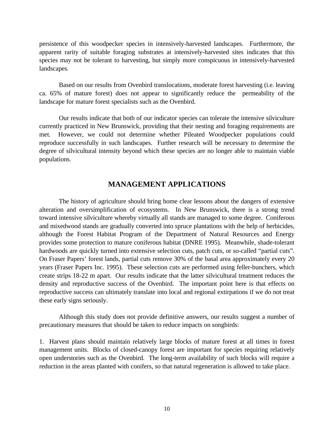persistence of this woodpecker species in intensively-harvested landscapes. Furthermore, the apparent rarity of suitable foraging substrates at intensively-harvested sites indicates that this species may not be tolerant to harvesting, but simply more conspicuous in intensively-harvested landscapes.

Based on our results from Ovenbird translocations, moderate forest harvesting (i.e. leaving ca. 65% of mature forest) does not appear to significantly reduce the permeability of the landscape for mature forest specialists such as the Ovenbird.

Our results indicate that both of our indicator species can tolerate the intensive silviculture currently practiced in New Brunswick, providing that their nesting and foraging requirements are met. However, we could not determine whether Pileated Woodpecker populations could reproduce successfully in such landscapes. Further research will be necessary to determine the degree of silvicultural intensity beyond which these species are no longer able to maintain viable populations.

# **MANAGEMENT APPLICATIONS**

The history of agriculture should bring home clear lessons about the dangers of extensive alteration and oversimplification of ecosystems. In New Brunswick, there is a strong trend toward intensive silviculture whereby virtually all stands are managed to some degree. Coniferous and mixedwood stands are gradually converted into spruce plantations with the help of herbicides, although the Forest Habitat Program of the Department of Natural Resources and Energy provides some protection to mature coniferous habitat (DNRE 1995). Meanwhile, shade-tolerant hardwoods are quickly turned into extensive selection cuts, patch cuts, or so-called "partial cuts". On Fraser Papers' forest lands, partial cuts remove 30% of the basal area approximately every 20 years (Fraser Papers Inc. 1995). These selection cuts are performed using feller-bunchers, which create strips 18-22 m apart. Our results indicate that the latter silvicultural treatment reduces the density and reproductive success of the Ovenbird. The important point here is that effects on reproductive success can ultimately translate into local and regional extirpations if we do not treat these early signs seriously.

Although this study does not provide definitive answers, our results suggest a number of precautionary measures that should be taken to reduce impacts on songbirds:

1. Harvest plans should maintain relatively large blocks of mature forest at all times in forest management units. Blocks of closed-canopy forest are important for species requiring relatively open understories such as the Ovenbird. The long-term availability of such blocks will require a reduction in the areas planted with conifers, so that natural regeneration is allowed to take place.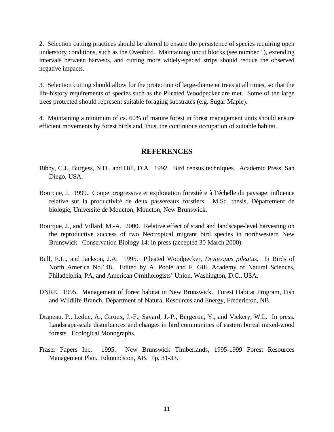2. Selection cutting practices should be altered to ensure the persistence of species requiring open understory conditions, such as the Ovenbird. Maintaining uncut blocks (see number 1), extending intervals between harvests, and cutting more widely-spaced strips should reduce the observed negative impacts.

3. Selection cutting should allow for the protection of large-diameter trees at all times, so that the life-history requirements of species such as the Pileated Woodpecker are met. Some of the large trees protected should represent suitable foraging substrates (e.g. Sugar Maple).

4. Maintaining a minimum of ca. 60% of mature forest in forest management units should ensure efficient movements by forest birds and, thus, the continuous occupation of suitable habitat.

# **REFERENCES**

- Bibby, C.J., Burgess, N.D., and Hill, D.A. 1992. Bird census techniques. Academic Press, San Diego, USA.
- Bourque, J. 1999. Coupe progressive et exploitation forestière à l'échelle du paysage: influence relative sur la productivité de deux passereaux forstiers. M.Sc. thesis, Département de biologie, Université de Moncton, Moncton, New Brunswick.
- Bourque, J., and Villard, M.-A. 2000. Relative effect of stand and landscape-level harvesting on the reproductive success of two Neotropical migrant bird species in northwestern New Brunswick. Conservation Biology 14: in press (accepted 30 March 2000).
- Bull, E.L., and Jackson, J.A. 1995. Pileated Woodpecker, *Dryocopus pileatus*. In Birds of North America No.148. Edited by A. Poole and F. Gill. Academy of Natural Sciences, Philadelphia, PA, and American Ornithologists' Union, Washington, D.C., USA.
- DNRE. 1995. Management of forest habitat in New Brunswick. Forest Habitat Program, Fish and Wildlife Branch, Department of Natural Resources and Energy, Fredericton, NB.
- Drapeau, P., Leduc, A., Giroux, J.-F., Savard, J.-P., Bergeron, Y., and Vickery, W.L. In press. Landscape-scale disturbances and changes in bird communities of eastern boreal mixed-wood forests. Ecological Monographs.
- Fraser Papers Inc. 1995. New Brunswick Timberlands, 1995-1999 Forest Resources Management Plan. Edmundston, AB. Pp. 31-33.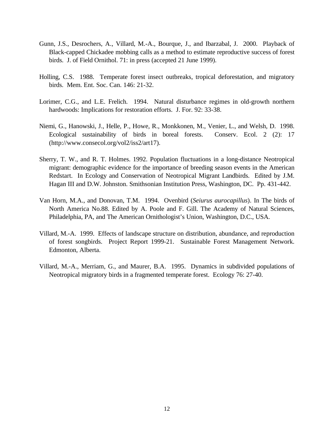- Gunn, J.S., Desrochers, A., Villard, M.-A., Bourque, J., and Ibarzabal, J. 2000. Playback of Black-capped Chickadee mobbing calls as a method to estimate reproductive success of forest birds. J. of Field Ornithol. 71: in press (accepted 21 June 1999).
- Holling, C.S. 1988. Temperate forest insect outbreaks, tropical deforestation, and migratory birds. Mem. Ent. Soc. Can. 146: 21-32.
- Lorimer, C.G., and L.E. Frelich. 1994. Natural disturbance regimes in old-growth northern hardwoods: Implications for restoration efforts. J. For. 92: 33-38.
- Niemi, G., Hanowski, J., Helle, P., Howe, R., Monkkonen, M., Venier, L., and Welsh, D. 1998. Ecological sustainability of birds in boreal forests. Conserv. Ecol. 2 (2): 17 (http://www.consecol.org/vol2/iss2/art17).
- Sherry, T. W., and R. T. Holmes. 1992. Population fluctuations in a long-distance Neotropical migrant: demographic evidence for the importance of breeding season events in the American Redstart. In Ecology and Conservation of Neotropical Migrant Landbirds. Edited by J.M. Hagan III and D.W. Johnston. Smithsonian Institution Press, Washington, DC. Pp. 431-442.
- Van Horn, M.A., and Donovan, T.M. 1994. Ovenbird (*Seiurus aurocapillus*). In The birds of North America No.88. Edited by A. Poole and F. Gill. The Academy of Natural Sciences, Philadelphia, PA, and The American Ornithologist's Union, Washington, D.C., USA.
- Villard, M.-A. 1999. Effects of landscape structure on distribution, abundance, and reproduction of forest songbirds. Project Report 1999-21. Sustainable Forest Management Network. Edmonton, Alberta.
- Villard, M.-A., Merriam, G., and Maurer, B.A. 1995. Dynamics in subdivided populations of Neotropical migratory birds in a fragmented temperate forest. Ecology 76: 27-40.